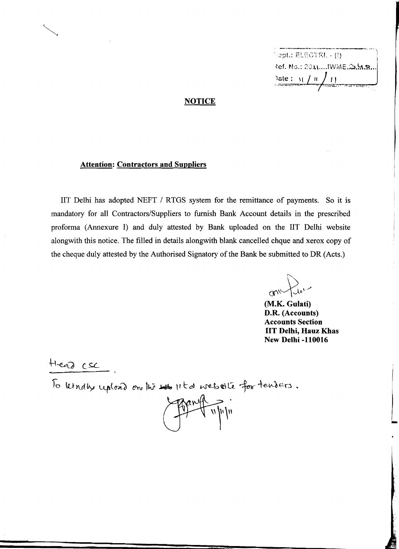\_.\_---\_....-.\_-..\_\_.\_.\_- 2ef. No.: 2011....IWME.3.H.s.. Date:  $11/11/1$  $\left( \begin{array}{c} 1 \end{array} \right)$ 

### **NOTICE**

#### **Attention: Contractors and Suppliers**

lIT Delhi has adopted NEFT / RTGS system for the remittance of payments. So it is mandatory for all Contractors/Suppliers to furnish Bank Account details in the prescribed proforma (Annexure I) and duly attested by Bank uploaded on the lIT Delhi website alongwith this notice. The filled in details alongwith blank cancelled chque and xerox copy of the cheque duly attested by the Authorised Signatory of the Bank be submitted to DR (Acts.)

 $^{\prime}$  $\sim$ 

**(M.K. Gulati) D.R. (Accounts) Accounts Section lIT Delhi, Hauz Khas New Delhi -110016** 

 $\overline{\phantom{a}}$ 

 $H$ ead csc

To kindly upload on the 1st 11 to website for tenders.

 $\sqrt{u}$ 

'5"A"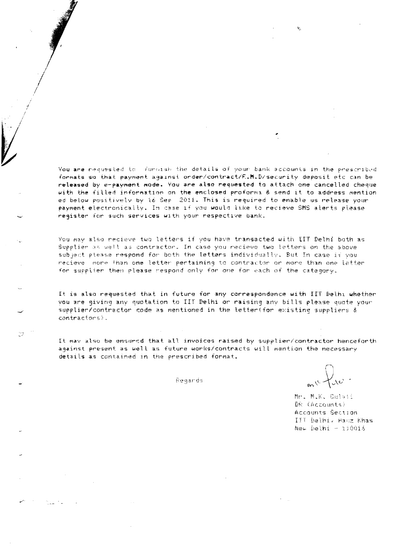You are requested to furnish the details of your bank accounts in the prescribed formats so that payment against order/contract/F.M.D/security deposit etc can be released by e-payment mode. You are also requested to attach one cancelled cheque with the filled information on the enclosed proforma & send it to address mention ed below positively by 16 Sep 2011. This is required to enable us release your payment electronically. In case if you would like to recieve SMS alerts please register for such services with your respective bank.

You way also recieve two letters if you have transacted with IIT Delhi both as Supplier as well as contractor. In case you recieve two letters on the above subject please respond for both the letters individually. But In case if you recieve more fhan one letter pertaining to contractor or more than one letter for supplier then please respond only for one for each of the category.

It is also requested that in future for any correspondence with IIT Belhi whether you are giving any quotation to IIT Delhi or raising any bills please quote your supplier/contractor code as mentioned in the letter(for existing suppliers & contractors).

It may also be ensured that all invoices raised by supplier/contractor henceforth against present as well as future works/contracts will mention the necessary details as contained in the prescribed format.

Regands

18 P

Mr. M.K. Gulati DR (Accounts) Accounts Section IIT Delbi, Hanz Khas New Delhi - 110016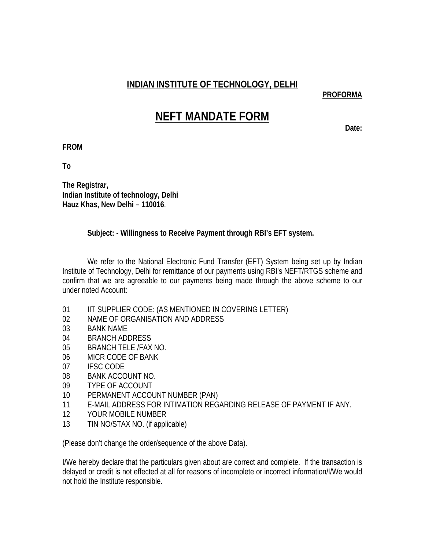# **INDIAN INSTITUTE OF TECHNOLOGY, DELHI**

**PROFORMA**

# **NEFT MANDATE FORM**

Date:

**FROM** 

**To** 

**The Registrar, Indian Institute of technology, Delhi Hauz Khas, New Delhi – 110016**.

## **Subject: - Willingness to Receive Payment through RBI's EFT system.**

We refer to the National Electronic Fund Transfer (EFT) System being set up by Indian Institute of Technology, Delhi for remittance of our payments using RBI's NEFT/RTGS scheme and confirm that we are agreeable to our payments being made through the above scheme to our under noted Account:

- 01 IIT SUPPLIER CODE: (AS MENTIONED IN COVERING LETTER)
- 02 NAME OF ORGANISATION AND ADDRESS
- 03 BANK NAME
- 04 BRANCH ADDRESS
- 05 BRANCH TELE /FAX NO.
- 06 MICR CODE OF BANK
- 07 **IFSC CODE**
- 08 BANK ACCOUNT NO.
- 09 TYPE OF ACCOUNT
- 10 PERMANENT ACCOUNT NUMBER (PAN)
- 11 E-MAIL ADDRESS FOR INTIMATION REGARDING RELEASE OF PAYMENT IF ANY.
- 12 YOUR MOBILE NUMBER
- 13 TIN NO/STAX NO. (if applicable)

(Please don't change the order/sequence of the above Data).

I/We hereby declare that the particulars given about are correct and complete. If the transaction is delayed or credit is not effected at all for reasons of incomplete or incorrect information/I/We would not hold the Institute responsible.